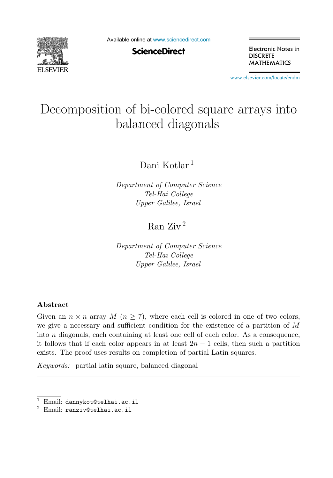

Available online at [www.sciencedirect.com](http://www.sciencedirect.com)

**ScienceDirect** 

Electronic Notes in **DISCRETE MATHEMATICS** 

[www.elsevier.com/locate/endm](http://www.elsevier.com/locate/endm)

# Decomposition of bi-colored square arrays into balanced diagonals

Dani Kotlar <sup>1</sup>

*Department of Computer Science Tel-Hai College Upper Galilee, Israel*

# Ran Ziv <sup>2</sup>

*Department of Computer Science Tel-Hai College Upper Galilee, Israel*

#### **Abstract**

Given an  $n \times n$  array  $M$   $(n \geq 7)$ , where each cell is colored in one of two colors, we give a necessary and sufficient condition for the existence of a partition of M into  $n$  diagonals, each containing at least one cell of each color. As a consequence, it follows that if each color appears in at least  $2n - 1$  cells, then such a partition exists. The proof uses results on completion of partial Latin squares.

*Keywords:* partial latin square, balanced diagonal

Email: dannykot@telhai.ac.il

<sup>2</sup> Email: ranziv@telhai.ac.il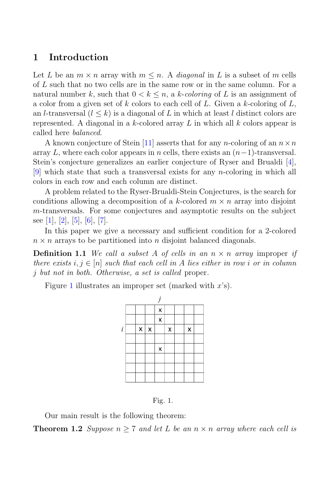#### **1 Introduction**

Let L be an  $m \times n$  array with  $m \leq n$ . A *diagonal* in L is a subset of m cells of L such that no two cells are in the same row or in the same column. For a natural number k, such that  $0 < k \leq n$ , a k-coloring of L is an assignment of a color from a given set of k colors to each cell of L. Given a k-coloring of  $L$ , an l-transversal  $(l \leq k)$  is a diagonal of L in which at least l distinct colors are represented. A diagonal in a k-colored array L in which all  $k$  colors appear is called here balanced.

A known conjecture of Stein [11] asserts that for any *n*-coloring of an  $n \times n$ array L, where each color appears in n cells, there exists an  $(n-1)$ -transversal. Stein's conjecture generalizes an earlier conjecture of Ryser and Brualdi [4], [9] which state that such a transversal exists for any n-coloring in which all colors in each row and each column are distinct.

A problem related to the Ryser-Brualdi-Stein Conjectures, is the search for conditions allowing a decomposition of a k-colored  $m \times n$  array into disjoint m-transversals. For some conjectures and asymptotic results on the subject see [1], [2], [5], [6], [7].

In this paper we give a necessary and sufficient condition for a 2-colored  $n \times n$  arrays to be partitioned into n disjoint balanced diagonals.

**Definition 1.1** We call a subset A of cells in an  $n \times n$  array improper if there exists  $i, j \in [n]$  such that each cell in A lies either in row i or in column j but not in both. Otherwise, a set is called proper.

Figure 1 illustrates an improper set (marked with  $x$ 's).





Our main result is the following theorem:

**Theorem 1.2** Suppose  $n \geq 7$  and let L be an  $n \times n$  array where each cell is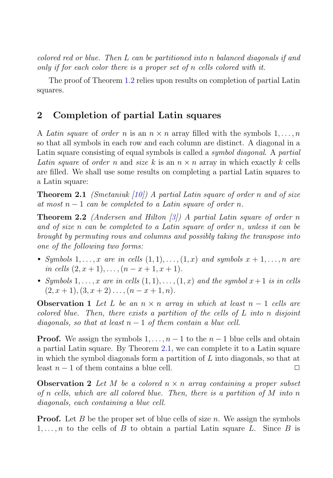colored red or blue. Then L can be partitioned into n balanced diagonals if and only if for each color there is a proper set of n cells colored with it.

The proof of Theorem 1.2 relies upon results on completion of partial Latin squares.

## **2 Completion of partial Latin squares**

A Latin square of order n is an  $n \times n$  array filled with the symbols  $1, \ldots, n$ so that all symbols in each row and each column are distinct. A diagonal in a Latin square consisting of equal symbols is called a symbol diagonal. A partial Latin square of order n and size k is an  $n \times n$  array in which exactly k cells are filled. We shall use some results on completing a partial Latin squares to a Latin square:

**Theorem 2.1** (Smetaniuk [10]) A partial Latin square of order n and of size at most  $n-1$  can be completed to a Latin square of order n.

**Theorem 2.2** (Andersen and Hilton  $\lceil 3 \rceil$ ) A partial Latin square of order n and of size n can be completed to a Latin square of order n, unless it can be brought by permuting rows and columns and possibly taking the transpose into one of the following two forms:

- Symbols  $1, \ldots, x$  are in cells  $(1, 1), \ldots, (1, x)$  and symbols  $x + 1, \ldots, n$  are in cells  $(2, x + 1), \ldots, (n - x + 1, x + 1).$
- Symbols  $1, \ldots, x$  are in cells  $(1, 1), \ldots, (1, x)$  and the symbol  $x + 1$  is in cells  $(2, x + 1), (3, x + 2), \ldots, (n - x + 1, n).$

**Observation 1** Let L be an  $n \times n$  array in which at least  $n - 1$  cells are colored blue. Then, there exists a partition of the cells of L into n disjoint diagonals, so that at least  $n-1$  of them contain a blue cell.

**Proof.** We assign the symbols  $1, \ldots, n-1$  to the  $n-1$  blue cells and obtain a partial Latin square. By Theorem 2.1, we can complete it to a Latin square in which the symbol diagonals form a partition of  $L$  into diagonals, so that at least  $n-1$  of them contains a blue cell.  $\Box$ 

**Observation 2** Let M be a colored  $n \times n$  array containing a proper subset of n cells, which are all colored blue. Then, there is a partition of  $M$  into n diagonals, each containing a blue cell.

**Proof.** Let B be the proper set of blue cells of size n. We assign the symbols  $1,\ldots,n$  to the cells of B to obtain a partial Latin square L. Since B is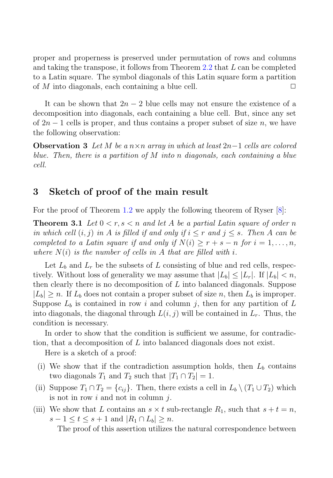proper and properness is preserved under permutation of rows and columns and taking the transpose, it follows from Theorem  $2.2$  that  $L$  can be completed to a Latin square. The symbol diagonals of this Latin square form a partition of M into diagonals, each containing a blue cell.  $\Box$ 

It can be shown that  $2n-2$  blue cells may not ensure the existence of a decomposition into diagonals, each containing a blue cell. But, since any set of  $2n-1$  cells is proper, and thus contains a proper subset of size n, we have the following observation:

**Observation 3** Let M be a  $n \times n$  array in which at least  $2n-1$  cells are colored blue. Then, there is a partition of M into n diagonals, each containing a blue cell.

#### **3 Sketch of proof of the main result**

For the proof of Theorem 1.2 we apply the following theorem of Ryser  $[8]$ :

**Theorem 3.1** Let  $0 < r, s < n$  and let A be a partial Latin square of order n in which cell  $(i, j)$  in A is filled if and only if  $i \leq r$  and  $j \leq s$ . Then A can be completed to a Latin square if and only if  $N(i) \geq r + s - n$  for  $i = 1, \ldots, n$ , where  $N(i)$  is the number of cells in A that are filled with i.

Let  $L_b$  and  $L_r$  be the subsets of L consisting of blue and red cells, respectively. Without loss of generality we may assume that  $|L_b| \leq |L_r|$ . If  $|L_b| < n$ , then clearly there is no decomposition of  $L$  into balanced diagonals. Suppose  $|L_b| \ge n$ . If  $L_b$  does not contain a proper subset of size n, then  $L_b$  is improper. Suppose  $L_b$  is contained in row i and column j, then for any partition of L into diagonals, the diagonal through  $L(i, j)$  will be contained in  $L<sub>r</sub>$ . Thus, the condition is necessary.

In order to show that the condition is sufficient we assume, for contradiction, that a decomposition of L into balanced diagonals does not exist.

Here is a sketch of a proof:

- (i) We show that if the contradiction assumption holds, then  $L_b$  contains two diagonals  $T_1$  and  $T_2$  such that  $|T_1 \cap T_2| = 1$ .
- (ii) Suppose  $T_1 \cap T_2 = \{c_{ij}\}\$ . Then, there exists a cell in  $L_b \setminus (T_1 \cup T_2)$  which is not in row  $i$  and not in column  $j$ .
- (iii) We show that L contains an  $s \times t$  sub-rectangle  $R_1$ , such that  $s + t = n$ ,  $s-1 \leq t \leq s+1$  and  $|R_1 \cap L_b| \geq n$ .

The proof of this assertion utilizes the natural correspondence between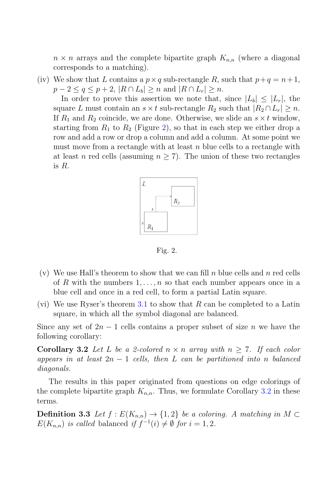$n \times n$  arrays and the complete bipartite graph  $K_{n,n}$  (where a diagonal corresponds to a matching).

(iv) We show that L contains a  $p \times q$  sub-rectangle R, such that  $p+q = n+1$ ,  $p-2 \le q \le p+2$ ,  $|R \cap L_b| \ge n$  and  $|R \cap L_r| \ge n$ .

In order to prove this assertion we note that, since  $|L_b| \leq |L_r|$ , the square L must contain an  $s \times t$  sub-rectangle  $R_2$  such that  $|R_2 \cap L_r| \geq n$ . If  $R_1$  and  $R_2$  coincide, we are done. Otherwise, we slide an  $s \times t$  window, starting from  $R_1$  to  $R_2$  (Figure 2), so that in each step we either drop a row and add a row or drop a column and add a column. At some point we must move from a rectangle with at least  $n$  blue cells to a rectangle with at least n red cells (assuming  $n \geq 7$ ). The union of these two rectangles is R.



Fig. 2.

- (v) We use Hall's theorem to show that we can fill n blue cells and n red cells of R with the numbers  $1, \ldots, n$  so that each number appears once in a blue cell and once in a red cell, to form a partial Latin square.
- (vi) We use Ryser's theorem 3.1 to show that R can be completed to a Latin square, in which all the symbol diagonal are balanced.

Since any set of  $2n-1$  cells contains a proper subset of size n we have the following corollary:

**Corollary 3.2** Let L be a 2-colored  $n \times n$  array with  $n \geq 7$ . If each color appears in at least  $2n - 1$  cells, then L can be partitioned into n balanced diagonals.

The results in this paper originated from questions on edge colorings of the complete bipartite graph  $K_{n,n}$ . Thus, we formulate Corollary 3.2 in these terms.

**Definition 3.3** Let  $f : E(K_{n,n}) \to \{1,2\}$  be a coloring. A matching in  $M \subset$  $E(K_{n,n})$  is called balanced if  $f^{-1}(i) \neq \emptyset$  for  $i = 1, 2$ .